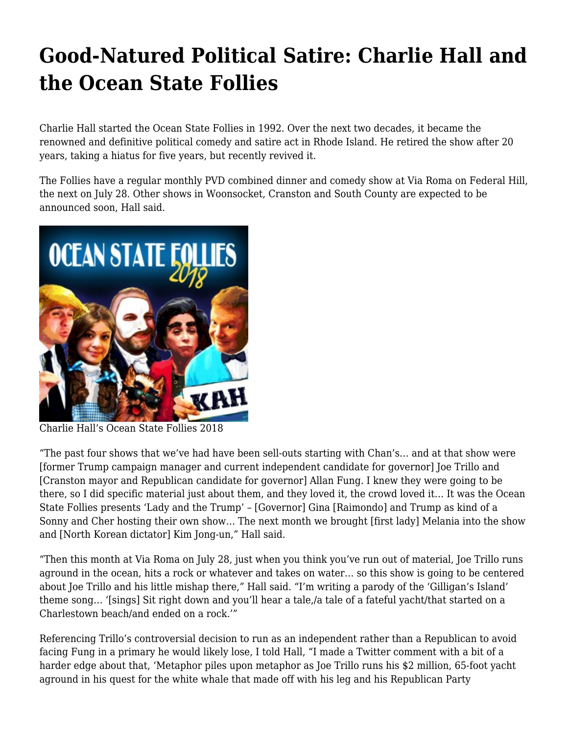## **[Good-Natured Political Satire: Charlie Hall and](https://motifri.com/oceanstatefollies/) [the Ocean State Follies](https://motifri.com/oceanstatefollies/)**

Charlie Hall started the Ocean State Follies in 1992. Over the next two decades, it became the renowned and definitive political comedy and satire act in Rhode Island. He retired the show after 20 years, taking a hiatus for five years, but recently revived it.

The Follies have a regular monthly PVD combined dinner and comedy show at [Via Roma](http://romaprov.net/) on Federal Hill, the next on July 28. Other shows in Woonsocket, Cranston and South County are expected to be announced soon, Hall said.



Charlie Hall's Ocean State Follies 2018

"The past four shows that we've had have been sell-outs starting with Chan's… and at that show were [former Trump campaign manager and current independent candidate for governor] Joe Trillo and [Cranston mayor and Republican candidate for governor] Allan Fung. I knew they were going to be there, so I did specific material just about them, and they loved it, the crowd loved it… It was the Ocean State Follies presents 'Lady and the Trump' – [Governor] Gina [Raimondo] and Trump as kind of a Sonny and Cher hosting their own show… The next month we brought [first lady] Melania into the show and [North Korean dictator] Kim Jong-un," Hall said.

"Then this month at Via Roma on July 28, just when you think you've run out of material, Joe Trillo [runs](http://www.providencejournal.com/news/20180708/yacht-belonging-to-gubernatorial-candidate-joe-trillo-takes-on-water-near-charlestown) [aground in the ocean, hits a rock or whatever and takes on water…](http://www.providencejournal.com/news/20180708/yacht-belonging-to-gubernatorial-candidate-joe-trillo-takes-on-water-near-charlestown) so this show is going to be centered about Joe Trillo and his little mishap there," Hall said. "I'm writing a parody of the 'Gilligan's Island' theme song… '[sings] Sit right down and you'll hear a tale,/a tale of a fateful yacht/that started on a Charlestown beach/and ended on a rock.'"

Referencing Trillo's controversial decision to run as an independent rather than a Republican to avoid facing Fung in a primary he would likely lose, I told Hall, "I made a [Twitter comment](https://twitter.com/MikeBilow/status/1016298120626483201) with a bit of a harder edge about that, 'Metaphor piles upon metaphor as Joe Trillo runs his \$2 million, 65-foot yacht aground in his quest for the white whale that made off with his leg and his Republican Party